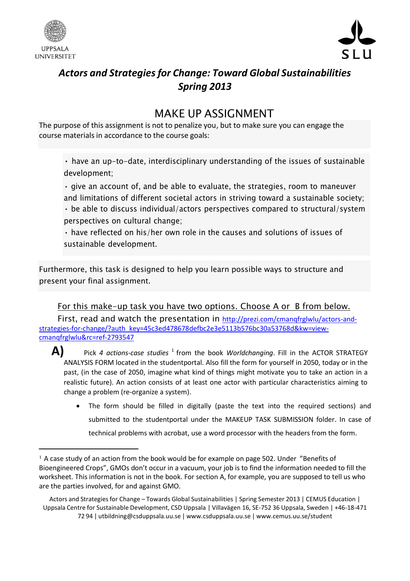



# *Actors and Strategiesfor Change: Toward Global Sustainabilities Spring 2013*

## MAKE UP ASSIGNMENT

The purpose of this assignment is not to penalize you, but to make sure you can engage the course materials in accordance to the course goals:

• have an up-to-date, interdisciplinary understanding of the issues of sustainable development;

• give an account of, and be able to evaluate, the strategies, room to maneuver and limitations of different societal actors in striving toward a sustainable society; • be able to discuss individual/actors perspectives compared to structural/system perspectives on cultural change;

• have reflected on his/her own role in the causes and solutions of issues of sustainable development.

Furthermore, this task is designed to help you learn possible ways to structure and present your final assignment.

### For this make-up task you have two options. Choose A or B from below.

First, read and watch the presentation in [http://prezi.com/cmanqfrglwlu/actors-and](http://prezi.com/cmanqfrglwlu/actors-and-strategies-for-change/?auth_key=45c3ed478678defbc2e3e5113b576bc30a53768d&kw=view-cmanqfrglwlu&rc=ref-2793547)[strategies-for-change/?auth\\_key=45c3ed478678defbc2e3e5113b576bc30a53768d&kw=view](http://prezi.com/cmanqfrglwlu/actors-and-strategies-for-change/?auth_key=45c3ed478678defbc2e3e5113b576bc30a53768d&kw=view-cmanqfrglwlu&rc=ref-2793547)[cmanqfrglwlu&rc=ref-2793547](http://prezi.com/cmanqfrglwlu/actors-and-strategies-for-change/?auth_key=45c3ed478678defbc2e3e5113b576bc30a53768d&kw=view-cmanqfrglwlu&rc=ref-2793547)

 $\blacktriangle\}$  Pick *4 actions-case studies*  $^1$  from the book *Worldchanging*. Fill in the ACTOR STRATEGY ANALYSIS FORM located in the studentportal. Also fill the form for yourself in 2050, today or in the past, (in the case of 2050, imagine what kind of things might motivate you to take an action in a realistic future). An action consists of at least one actor with particular characteristics aiming to change a problem (re-organize a system).

 The form should be filled in digitally (paste the text into the required sections) and submitted to the studentportal under the MAKEUP TASK SUBMISSION folder. In case of technical problems with acrobat, use a word processor with the headers from the form.

<sup>&</sup>lt;sup>1</sup> A case study of an action from the book would be for example on page 502. Under "Benefits of Bioengineered Crops", GMOs don't occur in a vacuum, your job is to find the information needed to fill the worksheet. This information is not in the book. For section A, for example, you are supposed to tell us who are the parties involved, for and against GMO.

Actors and Strategiesfor Change – Towards Global Sustainabilities | Spring Semester 2013 | CEMUS Education | Uppsala Centre for Sustainable Development, CSD Uppsala | Villavägen 16, SE-752 36 Uppsala, Sweden | +46-18-471 72 94 | [utbildning@csduppsala.uu.se](mailto:utbildning@csduppsala.uu.se) | [www.csduppsala.uu.se](http://www.csduppsala.uu.se/) | [www.cemus.uu.se/student](http://www.cemus.uu.se/student)